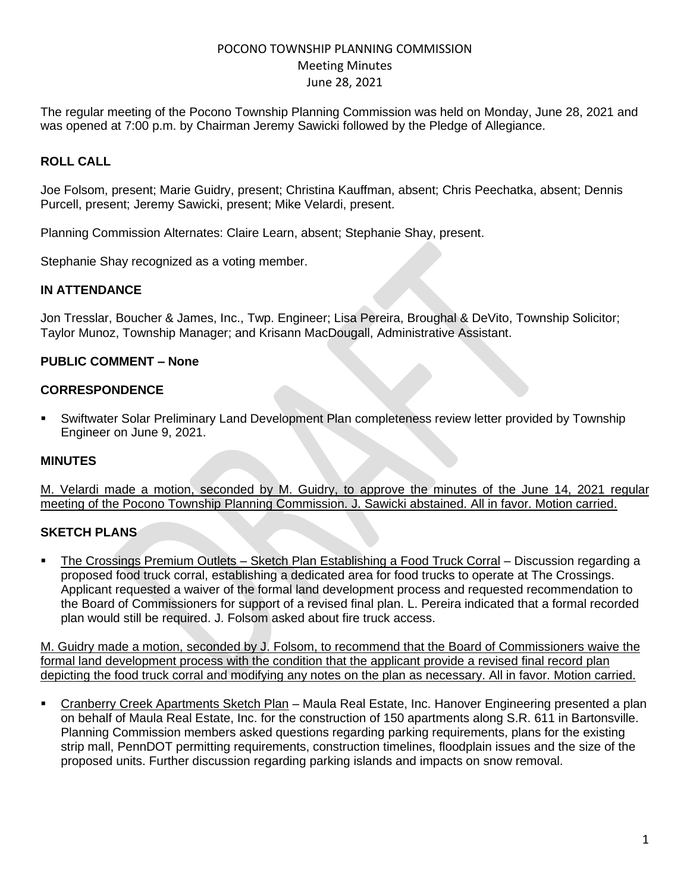The regular meeting of the Pocono Township Planning Commission was held on Monday, June 28, 2021 and was opened at 7:00 p.m. by Chairman Jeremy Sawicki followed by the Pledge of Allegiance.

# **ROLL CALL**

Joe Folsom, present; Marie Guidry, present; Christina Kauffman, absent; Chris Peechatka, absent; Dennis Purcell, present; Jeremy Sawicki, present; Mike Velardi, present.

Planning Commission Alternates: Claire Learn, absent; Stephanie Shay, present.

Stephanie Shay recognized as a voting member.

#### **IN ATTENDANCE**

Jon Tresslar, Boucher & James, Inc., Twp. Engineer; Lisa Pereira, Broughal & DeVito, Township Solicitor; Taylor Munoz, Township Manager; and Krisann MacDougall, Administrative Assistant.

### **PUBLIC COMMENT – None**

#### **CORRESPONDENCE**

**•** Swiftwater Solar Preliminary Land Development Plan completeness review letter provided by Township Engineer on June 9, 2021.

### **MINUTES**

M. Velardi made a motion, seconded by M. Guidry, to approve the minutes of the June 14, 2021 regular meeting of the Pocono Township Planning Commission. J. Sawicki abstained. All in favor. Motion carried.

#### **SKETCH PLANS**

▪ The Crossings Premium Outlets – Sketch Plan Establishing a Food Truck Corral – Discussion regarding a proposed food truck corral, establishing a dedicated area for food trucks to operate at The Crossings. Applicant requested a waiver of the formal land development process and requested recommendation to the Board of Commissioners for support of a revised final plan. L. Pereira indicated that a formal recorded plan would still be required. J. Folsom asked about fire truck access.

M. Guidry made a motion, seconded by J. Folsom, to recommend that the Board of Commissioners waive the formal land development process with the condition that the applicant provide a revised final record plan depicting the food truck corral and modifying any notes on the plan as necessary. All in favor. Motion carried.

**EXA** Cranberry Creek Apartments Sketch Plan – Maula Real Estate, Inc. Hanover Engineering presented a plan on behalf of Maula Real Estate, Inc. for the construction of 150 apartments along S.R. 611 in Bartonsville. Planning Commission members asked questions regarding parking requirements, plans for the existing strip mall, PennDOT permitting requirements, construction timelines, floodplain issues and the size of the proposed units. Further discussion regarding parking islands and impacts on snow removal.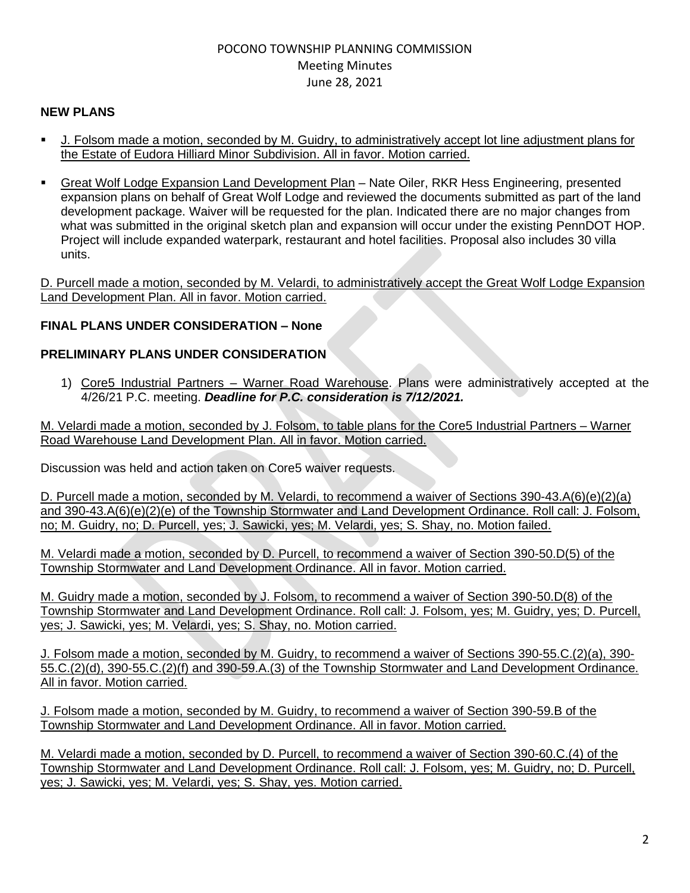### **NEW PLANS**

- J. Folsom made a motion, seconded by M. Guidry, to administratively accept lot line adjustment plans for the Estate of Eudora Hilliard Minor Subdivision. All in favor. Motion carried.
- **Great Wolf Lodge Expansion Land Development Plan Nate Oiler, RKR Hess Engineering, presented** expansion plans on behalf of Great Wolf Lodge and reviewed the documents submitted as part of the land development package. Waiver will be requested for the plan. Indicated there are no major changes from what was submitted in the original sketch plan and expansion will occur under the existing PennDOT HOP. Project will include expanded waterpark, restaurant and hotel facilities. Proposal also includes 30 villa units.

D. Purcell made a motion, seconded by M. Velardi, to administratively accept the Great Wolf Lodge Expansion Land Development Plan. All in favor. Motion carried.

# **FINAL PLANS UNDER CONSIDERATION – None**

### **PRELIMINARY PLANS UNDER CONSIDERATION**

1) Core5 Industrial Partners – Warner Road Warehouse. Plans were administratively accepted at the 4/26/21 P.C. meeting. *Deadline for P.C. consideration is 7/12/2021.*

M. Velardi made a motion, seconded by J. Folsom, to table plans for the Core5 Industrial Partners – Warner Road Warehouse Land Development Plan. All in favor. Motion carried.

Discussion was held and action taken on Core5 waiver requests.

D. Purcell made a motion, seconded by M. Velardi, to recommend a waiver of Sections 390-43.A(6)(e)(2)(a) and 390-43.A(6)(e)(2)(e) of the Township Stormwater and Land Development Ordinance. Roll call: J. Folsom, no; M. Guidry, no; D. Purcell, yes; J. Sawicki, yes; M. Velardi, yes; S. Shay, no. Motion failed.

M. Velardi made a motion, seconded by D. Purcell, to recommend a waiver of Section 390-50.D(5) of the Township Stormwater and Land Development Ordinance. All in favor. Motion carried.

M. Guidry made a motion, seconded by J. Folsom, to recommend a waiver of Section 390-50.D(8) of the Township Stormwater and Land Development Ordinance. Roll call: J. Folsom, yes; M. Guidry, yes; D. Purcell, yes; J. Sawicki, yes; M. Velardi, yes; S. Shay, no. Motion carried.

J. Folsom made a motion, seconded by M. Guidry, to recommend a waiver of Sections 390-55.C.(2)(a), 390- 55.C.(2)(d), 390-55.C.(2)(f) and 390-59.A.(3) of the Township Stormwater and Land Development Ordinance. All in favor. Motion carried.

J. Folsom made a motion, seconded by M. Guidry, to recommend a waiver of Section 390-59.B of the Township Stormwater and Land Development Ordinance. All in favor. Motion carried.

M. Velardi made a motion, seconded by D. Purcell, to recommend a waiver of Section 390-60.C.(4) of the Township Stormwater and Land Development Ordinance. Roll call: J. Folsom, yes; M. Guidry, no; D. Purcell, yes; J. Sawicki, yes; M. Velardi, yes; S. Shay, yes. Motion carried.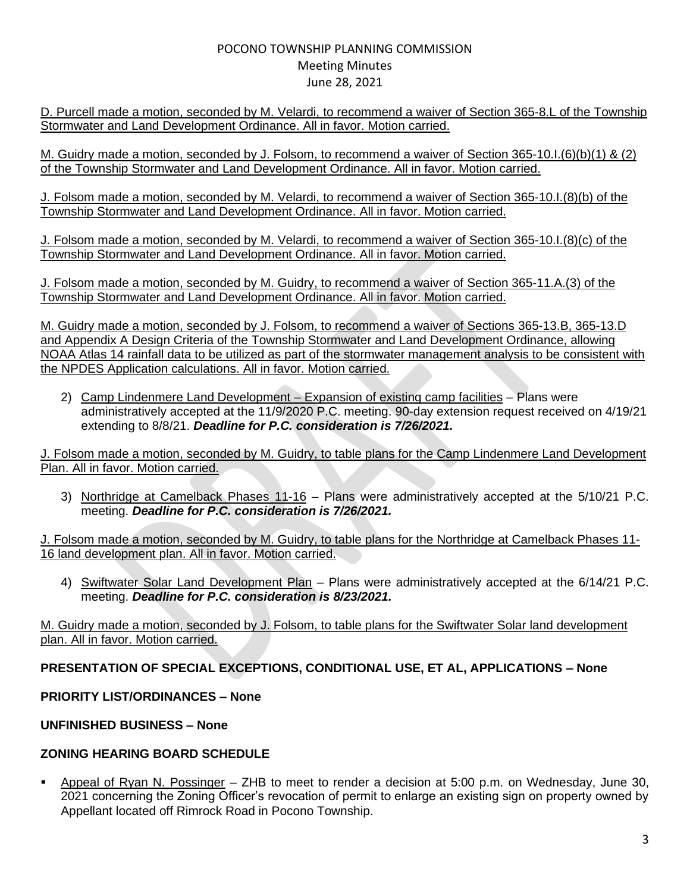D. Purcell made a motion, seconded by M. Velardi, to recommend a waiver of Section 365-8.L of the Township Stormwater and Land Development Ordinance. All in favor. Motion carried.

M. Guidry made a motion, seconded by J. Folsom, to recommend a waiver of Section 365-10.I.(6)(b)(1) & (2) of the Township Stormwater and Land Development Ordinance. All in favor. Motion carried.

J. Folsom made a motion, seconded by M. Velardi, to recommend a waiver of Section 365-10.I.(8)(b) of the Township Stormwater and Land Development Ordinance. All in favor. Motion carried.

J. Folsom made a motion, seconded by M. Velardi, to recommend a waiver of Section 365-10.I.(8)(c) of the Township Stormwater and Land Development Ordinance. All in favor. Motion carried.

J. Folsom made a motion, seconded by M. Guidry, to recommend a waiver of Section 365-11.A.(3) of the Township Stormwater and Land Development Ordinance. All in favor. Motion carried.

M. Guidry made a motion, seconded by J. Folsom, to recommend a waiver of Sections 365-13.B, 365-13.D and Appendix A Design Criteria of the Township Stormwater and Land Development Ordinance, allowing NOAA Atlas 14 rainfall data to be utilized as part of the stormwater management analysis to be consistent with the NPDES Application calculations. All in favor. Motion carried.

2) Camp Lindenmere Land Development – Expansion of existing camp facilities – Plans were administratively accepted at the 11/9/2020 P.C. meeting. 90-day extension request received on 4/19/21 extending to 8/8/21. *Deadline for P.C. consideration is 7/26/2021.*

J. Folsom made a motion, seconded by M. Guidry, to table plans for the Camp Lindenmere Land Development Plan. All in favor. Motion carried.

3) Northridge at Camelback Phases 11-16 – Plans were administratively accepted at the 5/10/21 P.C. meeting. *Deadline for P.C. consideration is 7/26/2021.*

J. Folsom made a motion, seconded by M. Guidry, to table plans for the Northridge at Camelback Phases 11- 16 land development plan. All in favor. Motion carried.

4) Swiftwater Solar Land Development Plan - Plans were administratively accepted at the 6/14/21 P.C. meeting. *Deadline for P.C. consideration is 8/23/2021.*

M. Guidry made a motion, seconded by J. Folsom, to table plans for the Swiftwater Solar land development plan. All in favor. Motion carried.

# **PRESENTATION OF SPECIAL EXCEPTIONS, CONDITIONAL USE, ET AL, APPLICATIONS – None**

### **PRIORITY LIST/ORDINANCES – None**

### **UNFINISHED BUSINESS – None**

#### **ZONING HEARING BOARD SCHEDULE**

▪ Appeal of Ryan N. Possinger – ZHB to meet to render a decision at 5:00 p.m. on Wednesday, June 30, 2021 concerning the Zoning Officer's revocation of permit to enlarge an existing sign on property owned by Appellant located off Rimrock Road in Pocono Township.